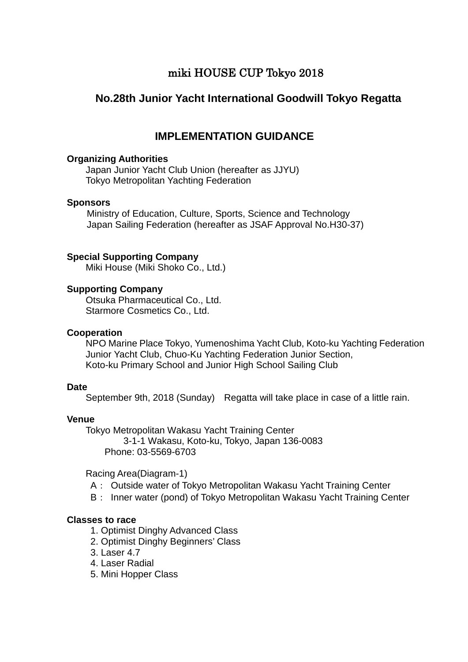## miki HOUSE CUP Tokyo 2018

## **No.28th Junior Yacht International Goodwill Tokyo Regatta**

## **IMPLEMENTATION GUIDANCE**

#### **Organizing Authorities**

Japan Junior Yacht Club Union (hereafter as JJYU) Tokyo Metropolitan Yachting Federation

#### **Sponsors**

Ministry of Education, Culture, Sports, Science and Technology Japan Sailing Federation (hereafter as JSAF Approval No.H30-37)

#### **Special Supporting Company**

Miki House (Miki Shoko Co., Ltd.)

#### **Supporting Company**

Otsuka Pharmaceutical Co., Ltd. Starmore Cosmetics Co., Ltd.

#### **Cooperation**

NPO Marine Place Tokyo, Yumenoshima Yacht Club, Koto-ku Yachting Federation Junior Yacht Club, Chuo-Ku Yachting Federation Junior Section, Koto-ku Primary School and Junior High School Sailing Club

#### **Date**

September 9th, 2018 (Sunday) Regatta will take place in case of a little rain.

#### **Venue**

 Tokyo Metropolitan Wakasu Yacht Training Center 3-1-1 Wakasu, Koto-ku, Tokyo, Japan 136-0083

Phone: 03-5569-6703

Racing Area(Diagram-1)

- A: Outside water of Tokyo Metropolitan Wakasu Yacht Training Center
- B: Inner water (pond) of Tokyo Metropolitan Wakasu Yacht Training Center

#### **Classes to race**

- 1. Optimist Dinghy Advanced Class
- 2. Optimist Dinghy Beginners' Class
- 3. Laser 4.7
- 4. Laser Radial
- 5. Mini Hopper Class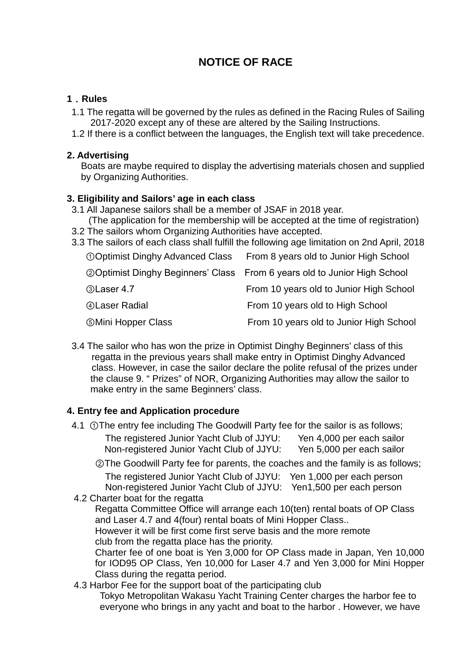# **NOTICE OF RACE**

#### **1**.**Rules**

- 1.1 The regatta will be governed by the rules as defined in the Racing Rules of Sailing 2017-2020 except any of these are altered by the Sailing Instructions.
- 1.2 If there is a conflict between the languages, the English text will take precedence.

#### **2. Advertising**

Boats are maybe required to display the advertising materials chosen and supplied by Organizing Authorities.

#### **3. Eligibility and Sailors' age in each class**

3.1 All Japanese sailors shall be a member of JSAF in 2018 year.

 (The application for the membership will be accepted at the time of registration) 3.2 The sailors whom Organizing Authorities have accepted.

3.3 The sailors of each class shall fulfill the following age limitation on 2nd April, 2018

| <b>OOptimist Dinghy Advanced Class</b>        | From 8 years old to Junior High School                                            |
|-----------------------------------------------|-----------------------------------------------------------------------------------|
|                                               | <b>20 Optimist Dinghy Beginners' Class</b> From 6 years old to Junior High School |
| <b>3Laser 4.7</b>                             | From 10 years old to Junior High School                                           |
| <b>4 Laser Radial</b>                         | From 10 years old to High School                                                  |
| <b><i><u><b>Mini Hopper Class</b></u></i></b> | From 10 years old to Junior High School                                           |

3.4 The sailor who has won the prize in Optimist Dinghy Beginners' class of this regatta in the previous years shall make entry in Optimist Dinghy Advanced class. However, in case the sailor declare the polite refusal of the prizes under the clause 9. " Prizes" of NOR, Organizing Authorities may allow the sailor to make entry in the same Beginners' class.

### **4. Entry fee and Application procedure**

4.1 ①The entry fee including The Goodwill Party fee for the sailor is as follows; The registered Junior Yacht Club of JJYU: Yen 4,000 per each sailor Non-registered Junior Yacht Club of JJYU: Yen 5,000 per each sailor

 ②The Goodwill Party fee for parents, the coaches and the family is as follows; The registered Junior Yacht Club of JJYU: Yen 1,000 per each person Non-registered Junior Yacht Club of JJYU: Yen1,500 per each person

4.2 Charter boat for the regatta

Regatta Committee Office will arrange each 10(ten) rental boats of OP Class and Laser 4.7 and 4(four) rental boats of Mini Hopper Class..

However it will be first come first serve basis and the more remote club from the regatta place has the priority.

Charter fee of one boat is Yen 3,000 for OP Class made in Japan, Yen 10,000 for IOD95 OP Class, Yen 10,000 for Laser 4.7 and Yen 3,000 for Mini Hopper Class during the regatta period.

#### 4.3 Harbor Fee for the support boat of the participating club

 Tokyo Metropolitan Wakasu Yacht Training Center charges the harbor fee to everyone who brings in any yacht and boat to the harbor . However, we have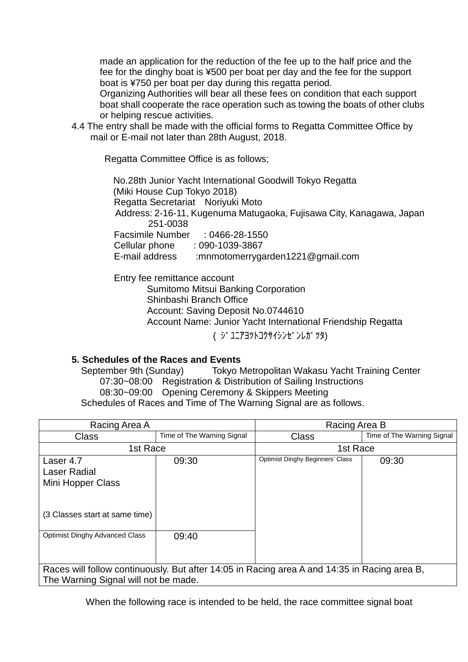made an application for the reduction of the fee up to the half price and the fee for the dinghy boat is ¥500 per boat per day and the fee for the support boat is ¥750 per boat per day during this regatta period.

 Organizing Authorities will bear all these fees on condition that each support boat shall cooperate the race operation such as towing the boats of other clubs or helping rescue activities.

4.4 The entry shall be made with the official forms to Regatta Committee Office by mail or E-mail not later than 28th August, 2018.

Regatta Committee Office is as follows;

No.28th Junior Yacht International Goodwill Tokyo Regatta (Miki House Cup Tokyo 2018) Regatta Secretariat Noriyuki Moto Address: 2-16-11, Kugenuma Matugaoka, Fujisawa City, Kanagawa, Japan 251-0038 Facsimile Number : 0466-28-1550 Cellular phone : 090-1039-3867 E-mail address :mnmotomerrygarden1221@gmail.com

**Entry fee remittance account** 

Sumitomo Mitsui Banking Corporation Shinbashi Branch Office Account: Saving Deposit No.0744610 Account Name: Junior Yacht International Friendship Regatta

( ジ ユニアヨツトコクサイシンゼンレガツタ)

#### **5. Schedules of the Races and Events**

 September 9th (Sunday) Tokyo Metropolitan Wakasu Yacht Training Center 07:30~08:00 Registration & Distribution of Sailing Instructions 08:30~09:00 Opening Ceremony & Skippers Meeting Schedules of Races and Time of The Warning Signal are as follows.

| Racing Area A                                                                                                                        |                            | Racing Area B                           |                            |  |  |
|--------------------------------------------------------------------------------------------------------------------------------------|----------------------------|-----------------------------------------|----------------------------|--|--|
| <b>Class</b>                                                                                                                         | Time of The Warning Signal | <b>Class</b>                            | Time of The Warning Signal |  |  |
| 1st Race                                                                                                                             |                            | 1st Race                                |                            |  |  |
| Laser 4.7<br>Laser Radial<br>Mini Hopper Class                                                                                       | 09:30                      | <b>Optimist Dinghy Beginners' Class</b> | 09:30                      |  |  |
| (3 Classes start at same time)                                                                                                       |                            |                                         |                            |  |  |
| <b>Optimist Dinghy Advanced Class</b>                                                                                                | 09:40                      |                                         |                            |  |  |
| Races will follow continuously. But after 14:05 in Racing area A and 14:35 in Racing area B,<br>The Warning Signal will not be made. |                            |                                         |                            |  |  |

When the following race is intended to be held, the race committee signal boat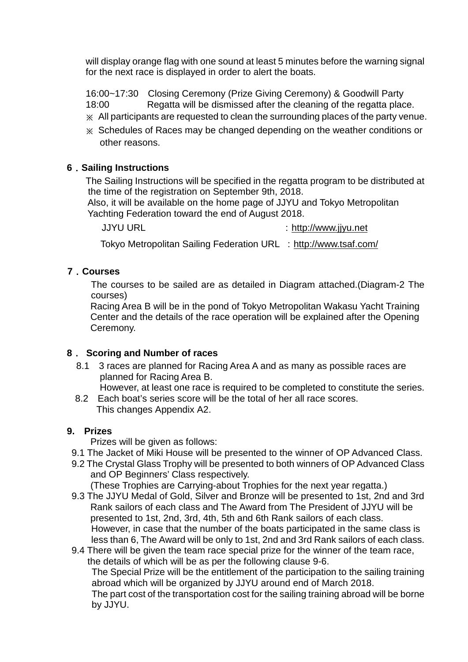will display orange flag with one sound at least 5 minutes before the warning signal for the next race is displayed in order to alert the boats.

 16:00~17:30 Closing Ceremony (Prize Giving Ceremony) & Goodwill Party 18:00 Regatta will be dismissed after the cleaning of the regatta place.

- ※ All participants are requested to clean the surrounding places of the party venue.
- ※ Schedules of Races may be changed depending on the weather conditions or other reasons.

#### **6**.**Sailing Instructions**

The Sailing Instructions will be specified in the regatta program to be distributed at the time of the registration on September 9th, 2018.

Also, it will be available on the home page of JJYU and Tokyo Metropolitan Yachting Federation toward the end of August 2018.

JJYU URL : [http://www.jjyu.net](http://www.jjyu.net/)

Tokyo Metropolitan Sailing Federation URL : <http://www.tsaf.com/>

### **7**.**Courses**

The courses to be sailed are as detailed in Diagram attached.(Diagram-2 The courses)

 Racing Area B will be in the pond of Tokyo Metropolitan Wakasu Yacht Training Center and the details of the race operation will be explained after the Opening Ceremony.

#### **8**. **Scoring and Number of races**

- 8.1 3 races are planned for Racing Area A and as many as possible races are planned for Racing Area B.
	- However, at least one race is required to be completed to constitute the series.
- 8.2 Each boat's series score will be the total of her all race scores. This changes Appendix A2.

#### **9. Prizes**

Prizes will be given as follows:

- 9.1 The Jacket of Miki House will be presented to the winner of OP Advanced Class.
- 9.2 The Crystal Glass Trophy will be presented to both winners of OP Advanced Class and OP Beginners' Class respectively.

(These Trophies are Carrying-about Trophies for the next year regatta.)

9.3 The JJYU Medal of Gold, Silver and Bronze will be presented to 1st, 2nd and 3rd Rank sailors of each class and The Award from The President of JJYU will be presented to 1st, 2nd, 3rd, 4th, 5th and 6th Rank sailors of each class. However, in case that the number of the boats participated in the same class is less than 6, The Award will be only to 1st, 2nd and 3rd Rank sailors of each class.

9.4 There will be given the team race special prize for the winner of the team race, the details of which will be as per the following clause 9-6. The Special Prize will be the entitlement of the participation to the sailing training abroad which will be organized by JJYU around end of March 2018. The part cost of the transportation cost for the sailing training abroad will be borne by JJYU.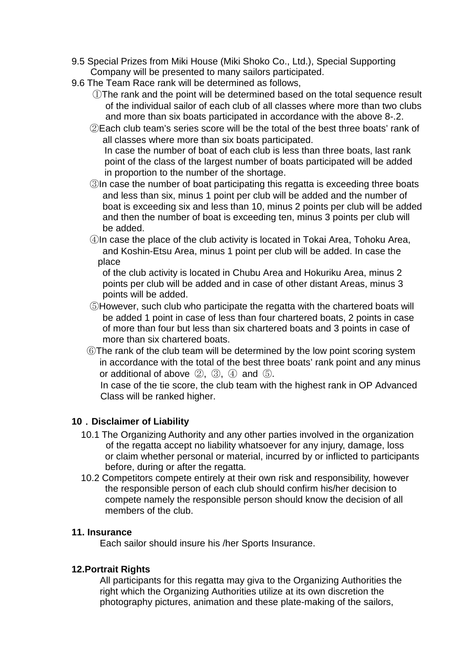- 9.5 Special Prizes from Miki House (Miki Shoko Co., Ltd.), Special Supporting Company will be presented to many sailors participated.
- 9.6 The Team Race rank will be determined as follows,
	- ①The rank and the point will be determined based on the total sequence result of the individual sailor of each club of all classes where more than two clubs and more than six boats participated in accordance with the above 8-.2.
	- ②Each club team's series score will be the total of the best three boats' rank of all classes where more than six boats participated.

In case the number of boat of each club is less than three boats, last rank point of the class of the largest number of boats participated will be added in proportion to the number of the shortage.

- ③In case the number of boat participating this regatta is exceeding three boats and less than six, minus 1 point per club will be added and the number of boat is exceeding six and less than 10, minus 2 points per club will be added and then the number of boat is exceeding ten, minus 3 points per club will be added.
- ④In case the place of the club activity is located in Tokai Area, Tohoku Area, and Koshin-Etsu Area, minus 1 point per club will be added. In case the place

of the club activity is located in Chubu Area and Hokuriku Area, minus 2 points per club will be added and in case of other distant Areas, minus 3 points will be added.

- ⑤However, such club who participate the regatta with the chartered boats will be added 1 point in case of less than four chartered boats, 2 points in case of more than four but less than six chartered boats and 3 points in case of more than six chartered boats.
- ⑥The rank of the club team will be determined by the low point scoring system in accordance with the total of the best three boats' rank point and any minus or additional of above ②, ③, ④ and ⑤.

In case of the tie score, the club team with the highest rank in OP Advanced Class will be ranked higher.

### **10**.**Disclaimer of Liability**

- 10.1 The Organizing Authority and any other parties involved in the organization of the regatta accept no liability whatsoever for any injury, damage, loss or claim whether personal or material, incurred by or inflicted to participants before, during or after the regatta.
- 10.2 Competitors compete entirely at their own risk and responsibility, however the responsible person of each club should confirm his/her decision to compete namely the responsible person should know the decision of all members of the club.

#### **11. Insurance**

Each sailor should insure his /her Sports Insurance.

#### **12.Portrait Rights**

 All participants for this regatta may giva to the Organizing Authorities the right which the Organizing Authorities utilize at its own discretion the photography pictures, animation and these plate-making of the sailors,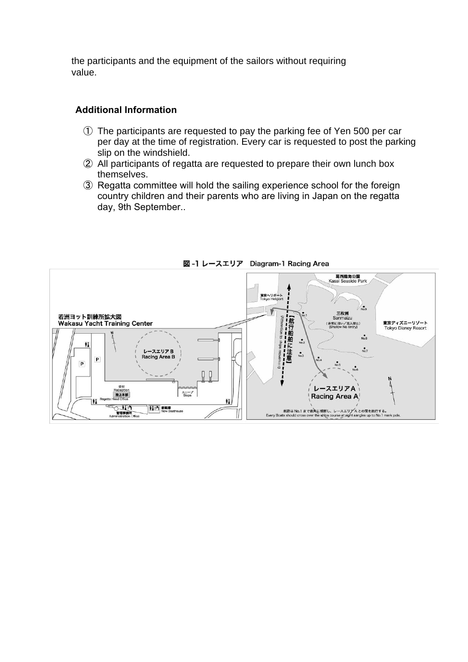the participants and the equipment of the sailors without requiring value.

### **Additional Information**

- ① The participants are requested to pay the parking fee of Yen 500 per car per day at the time of registration. Every car is requested to post the parking slip on the windshield.
- ② All participants of regatta are requested to prepare their own lunch box themselves.
- ③ Regatta committee will hold the sailing experience school for the foreign country children and their parents who are living in Japan on the regatta day, 9th September..



図-1 レースエリア Diagram-1 Racing Area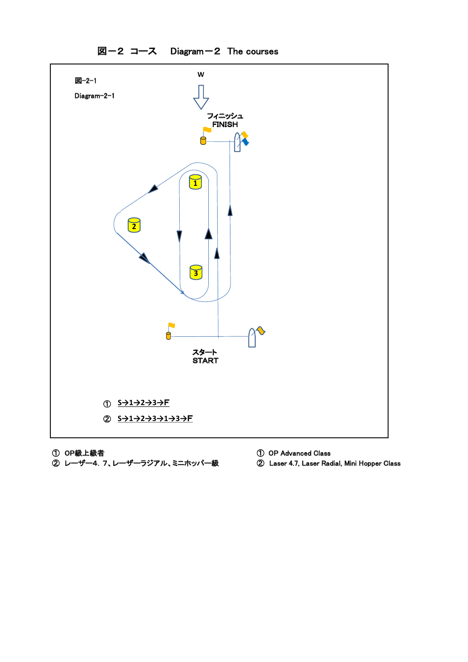

① OP級上級者<br>② レーザー4. 7、レーザーラジアル、ミニホッパー級 ② Laser 4.7, Laser Radial, Mini Hopper Class ② レーザー4.7、レーザーラジアル、ミニホッパー級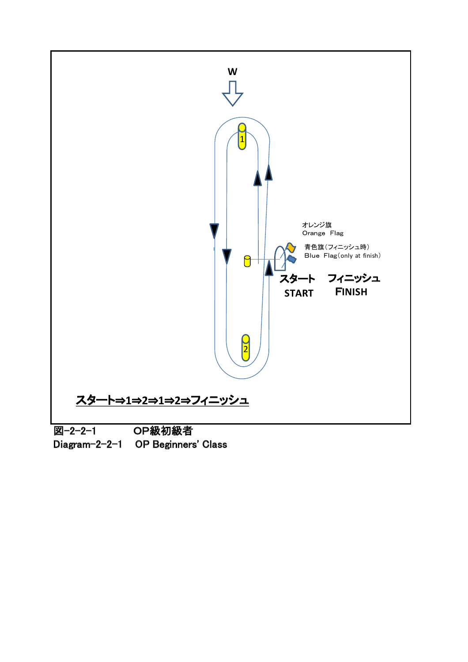

Diagram-2-2-1 OP Beginners' Class